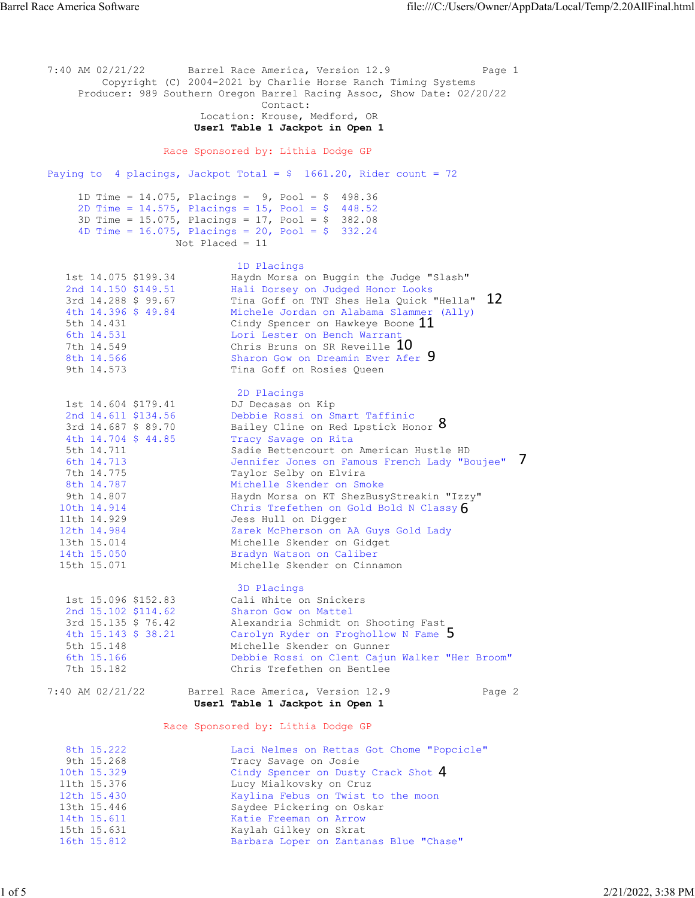7:40 AM 02/21/22 Barrel Race America, Version 12.9 Page 1 Copyright (C) 2004-2021 by Charlie Horse Ranch Timing Systems Producer: 989 Southern Oregon Barrel Racing Assoc, Show Date: 02/20/22 Contact: Location: Krouse, Medford, OR  **User1 Table 1 Jackpot in Open 1**  Race Sponsored by: Lithia Dodge GP Paying to 4 placings, Jackpot Total =  $$ 1661.20$ , Rider count = 72 1D Time =  $14.075$ , Placings =  $9$ , Pool =  $$$  498.36 2D Time =  $14.575$ , Placings =  $15$ , Pool = \$ 448.52 3D Time = 15.075, Placings = 17, Pool = \$ 382.08 4D Time =  $16.075$ , Placings =  $20$ , Pool = \$ 332.24 Not Placed = 11 1D Placings 1st 14.075 \$199.34 Haydn Morsa on Buggin the Judge "Slash" 2nd 14.150 \$149.51 Hali Dorsey on Judged Honor Looks 3rd 14.288 \$ 99.67 Tina Goff on TNT Shes Hela Quick "Hella" 4th 14.396 \$ 49.84 Michele Jordan on Alabama Slammer (Ally) 5th 14.431 Cindy Spencer on Hawkeye Boone 6th 14.531 Lori Lester on Bench Warrant 7th 14.549 Chris Bruns on SR Reveille 8th 14.566 Sharon Gow on Dreamin Ever Afer 9th 14.573 Tina Goff on Rosies Queen 2D Placings 1st 14.604 \$179.41 DJ Decasas on Kip 2nd 14.611 \$134.56 Debbie Rossi on Smart Taffinic 3rd 14.687 \$ 89.70 Bailey Cline on Red Lpstick Honor 4th 14.704 \$ 44.85 Tracy Savage on Rita 5th 14.711 Sadie Bettencourt on American Hustle HD 6th 14.713 Jennifer Jones on Famous French Lady "Boujee" 7th 14.775 Taylor Selby on Elvira 8th 14.787 Michelle Skender on Smoke 9th 14.807 Haydn Morsa on KT ShezBusyStreakin "Izzy" 10th 14.914 Chris Trefethen on Gold Bold N Classy 11th 14.929 Jess Hull on Digger 12th 14.984 Zarek McPherson on AA Guys Gold Lady 13th 15.014 Michelle Skender on Gidget 14th 15.050 Bradyn Watson on Caliber 15th 15.071 Michelle Skender on Cinnamon 3D Placings 1st 15.096 \$152.83 Cali White on Snickers 2nd 15.102 \$114.62 Sharon Gow on Mattel 3rd 15.135 \$ 76.42 Alexandria Schmidt on Shooting Fast 4th 15.143 \$ 38.21 Carolyn Ryder on Froghollow N Fame 5th 15.148 Michelle Skender on Gunner 6th 15.166 Debbie Rossi on Clent Cajun Walker "Her Broom" Chris Trefethen on Bentlee 7:40 AM 02/21/22 Barrel Race America, Version 12.9 Page 2  **User1 Table 1 Jackpot in Open 1**  Race Sponsored by: Lithia Dodge GP 8th 15.222 Laci Nelmes on Rettas Got Chome "Popcicle"<br>9th 15.268 Tracy Savage on Josie 9th 15.268 Tracy Savage on Josie<br>10th 15.329 Cindy Spencer on Dusty 10th 15.329 Cindy Spencer on Dusty Crack Shot 11th 15.376 Lucy Mialkovsky on Cruz 12th 15.430 Kaylina Febus on Twist to the moon 13th 15.446 Saydee Pickering on Oskar 14th 15.611 Katie Freeman on Arrow 15th 15.631 Kaylah Gilkey on Skrat 16th 15.812 Barbara Loper on Zantanas Blue "Chase" 10th 15.329 Cindy Spencer on Dusty Crack Shot 4<br>
11th 15.376 Lucy Mialkovsky on Cruz<br>
12th 15.430 Kaylina Febus on Twist to the moon<br>
13th 15.446 Saydee Pickering on Oskar<br>
14th 15.611 Katie Freeman on Arrow<br>
15th 15.812 B 5 6 7 8 9 Quick "Hella" 12<br>lammer (Ally)<br>one 11<br>t 0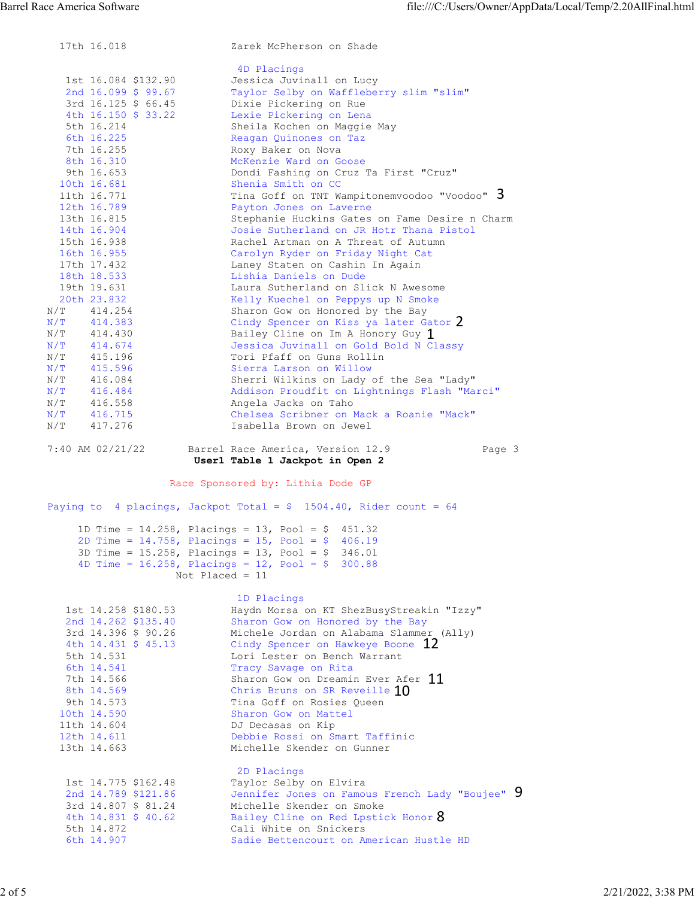|                           | 17th 16.018                | Zarek McPherson on Shade                                                                                        |
|---------------------------|----------------------------|-----------------------------------------------------------------------------------------------------------------|
|                           |                            | 4D Placings                                                                                                     |
|                           | 1st 16.084 \$132.90        | Jessica Juvinall on Lucy                                                                                        |
|                           | 2nd $16.099$ \$ 99.67      | Taylor Selby on Waffleberry slim "slim"                                                                         |
|                           | 3rd 16.125 \$ 66.45        | Dixie Pickering on Rue                                                                                          |
|                           | 4th 16.150 \$ 33.22        | Lexie Pickering on Lena                                                                                         |
|                           | 5th 16.214                 | Sheila Kochen on Maggie May                                                                                     |
|                           | 6th 16.225                 | Reagan Quinones on Taz                                                                                          |
|                           | 7th 16.255                 | Roxy Baker on Nova                                                                                              |
|                           | 8th 16.310                 | McKenzie Ward on Goose                                                                                          |
|                           | 9th 16.653                 | Dondi Fashing on Cruz Ta First "Cruz"                                                                           |
|                           | 10th 16.681                | Shenia Smith on CC                                                                                              |
|                           | 11th 16.771                | Tina Goff on TNT Wampitonemvoodoo "Voodoo" 3                                                                    |
|                           | 12th 16.789                | Payton Jones on Laverne                                                                                         |
|                           | 13th 16.815                | Stephanie Huckins Gates on Fame Desire n Charm<br>Josie Sutherland on JR Hotr Thana Pistol                      |
|                           | 14th 16.904<br>15th 16.938 | Rachel Artman on A Threat of Autumn                                                                             |
|                           | 16th 16.955                | Carolyn Ryder on Friday Night Cat                                                                               |
|                           | 17th 17.432                | Laney Staten on Cashin In Again                                                                                 |
|                           | 18th 18.533                | Lishia Daniels on Dude                                                                                          |
|                           | 19th 19.631                | Laura Sutherland on Slick N Awesome                                                                             |
|                           | 20th 23.832                | Kelly Kuechel on Peppys up N Smoke                                                                              |
| N/T                       | 414.254                    | Sharon Gow on Honored by the Bay                                                                                |
| $\mathrm{N} / \mathrm{T}$ | 414.383                    | Cindy Spencer on Kiss ya later Gator 2                                                                          |
| N/T                       | 414.430                    | Bailey Cline on Im A Honory Guy 1                                                                               |
| $\rm N/T$                 | 414.674                    | Jessica Juvinall on Gold Bold N Classy                                                                          |
| N/T                       | 415.196                    | Tori Pfaff on Guns Rollin                                                                                       |
| $\mathrm{N} / \mathrm{T}$ | 415.596                    | Sierra Larson on Willow                                                                                         |
| N/T                       | 416.084                    | Sherri Wilkins on Lady of the Sea "Lady"                                                                        |
| N/T                       | 416.484                    | Addison Proudfit on Lightnings Flash "Marci"                                                                    |
| N/T                       | 416.558                    | Angela Jacks on Taho                                                                                            |
| N/T                       | 416.715                    | Chelsea Scribner on Mack a Roanie "Mack"                                                                        |
| N/T                       | 417.276                    | Isabella Brown on Jewel                                                                                         |
|                           | 7:40 AM 02/21/22           | Barrel Race America, Version 12.9<br>Page 3<br>User1 Table 1 Jackpot in Open 2                                  |
|                           |                            |                                                                                                                 |
|                           |                            | Race Sponsored by: Lithia Dode GP                                                                               |
|                           |                            | Paying to 4 placings, Jackpot Total = $$$ 1504.40, Rider count = 64                                             |
|                           |                            |                                                                                                                 |
|                           |                            | 1D Time = $14.258$ , Placings = 13, Pool = \$ 451.32<br>2D Time = $14.758$ , Placings = $15$ , Pool = \$ 406.19 |
|                           |                            | 3D Time = $15.258$ , Placings = $13$ , Pool = \$ 346.01                                                         |
|                           |                            | 4D Time = $16.258$ , Placings = $12$ , Pool = \$ 300.88                                                         |
|                           |                            | Not Placed = $11$                                                                                               |
|                           |                            |                                                                                                                 |
|                           |                            | 1D Placings                                                                                                     |
|                           | 1st 14.258 \$180.53        | Haydn Morsa on KT ShezBusyStreakin "Izzy"                                                                       |
|                           | 2nd 14.262 \$135.40        | Sharon Gow on Honored by the Bay                                                                                |
|                           | 3rd 14.396 \$ 90.26        | Michele Jordan on Alabama Slammer (Ally)                                                                        |
|                           | 4th 14.431 \$ 45.13        | Cindy Spencer on Hawkeye Boone 12                                                                               |
|                           | 5th 14.531                 | Lori Lester on Bench Warrant                                                                                    |
|                           | 6th 14.541                 | Tracy Savage on Rita                                                                                            |
|                           | 7th 14.566                 | Sharon Gow on Dreamin Ever Afer 11                                                                              |
|                           | 8th 14.569                 | Chris Bruns on SR Reveille 10                                                                                   |
|                           | 9th 14.573                 | Tina Goff on Rosies Queen                                                                                       |
|                           | 10th 14.590                | Sharon Gow on Mattel                                                                                            |
|                           | 11th 14.604                | DJ Decasas on Kip                                                                                               |
|                           | 12th 14.611                | Debbie Rossi on Smart Taffinic                                                                                  |
|                           | 13th 14.663                | Michelle Skender on Gunner                                                                                      |
|                           |                            | 2D Placings                                                                                                     |
|                           | 1st 14.775 \$162.48        | Taylor Selby on Elvira                                                                                          |
|                           | 2nd 14.789 \$121.86        | Jennifer Jones on Famous French Lady "Boujee" 9                                                                 |
|                           | 3rd 14.807 \$ 81.24        | Michelle Skender on Smoke                                                                                       |
|                           | 4th 14.831 \$ 40.62        | Bailey Cline on Red Lpstick Honor 8                                                                             |
|                           | 5th 14.872                 | Cali White on Snickers                                                                                          |
|                           | 6th 14.907                 | Sadie Bettencourt on American Hustle HD                                                                         |
|                           |                            |                                                                                                                 |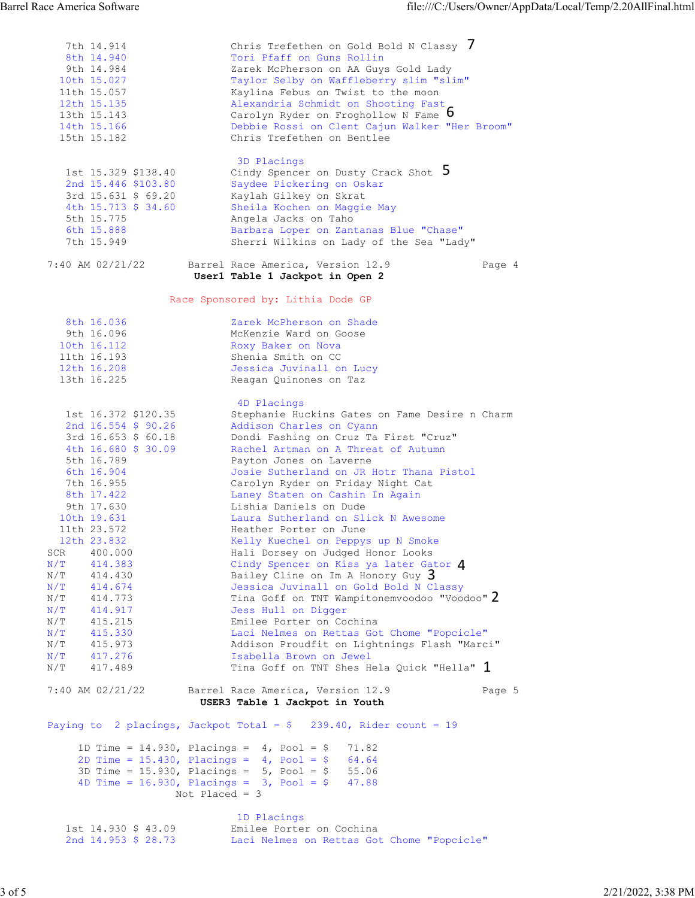7th 14.914 Chris Trefethen on Gold Bold N Classy 8th 14.940 Tori Pfaff on Guns Rollin 9th 14.984 Zarek McPherson on AA Guys Gold Lady 10th 15.027 Taylor Selby on Waffleberry slim "slim" 11th 15.057 Kaylina Febus on Twist to the moon 12th 15.135 Alexandria Schmidt on Shooting Fast 13th 15.143 Carolyn Ryder on Froghollow N Fame 14th 15.166 Debbie Rossi on Clent Cajun Walker "Her Broom" 15th 15.182 Chris Trefethen on Bentlee 3D Placings 1st 15.329 \$138.40 Cindy Spencer on Dusty Crack Shot 2nd 15.446 \$103.80 Saydee Pickering on Oskar 3rd 15.631 \$ 69.20 Kaylah Gilkey on Skrat 4th 15.713 \$ 34.60 Sheila Kochen on Maggie May 5th 15.775 Angela Jacks on Taho 6th 15.888 Barbara Loper on Zantanas Blue "Chase" 7th 15.949 Sherri Wilkins on Lady of the Sea "Lady" 7:40 AM 02/21/22 Barrel Race America, Version 12.9 Page 4  **User1 Table 1 Jackpot in Open 2**  Race Sponsored by: Lithia Dode GP 8th 16.036 Zarek McPherson on Shade<br>9th 16.096 McKenzie Ward on Goose 9th 16.096 McKenzie Ward on Goose<br>10th 16.112 Roxy Baker on Nova 10th 16.112 Roxy Baker on Nova 11th 16.193 Shenia Smith on CC 12th 16.208 Jessica Juvinall on Lucy 13th 16.225 Reagan Quinones on Taz 4D Placings 1st 16.372 \$120.35 Stephanie Huckins Gates on Fame Desire n Charm 2nd 16.554 \$ 90.26 Addison Charles on Cyann 3rd 16.653 \$ 60.18 Dondi Fashing on Cruz Ta First "Cruz" 4th 16.680 \$ 30.09 Rachel Artman on A Threat of Autumn 5th 16.789 Payton Jones on Laverne 6th 16.904 Josie Sutherland on JR Hotr Thana Pistol 7th 16.955 Carolyn Ryder on Friday Night Cat 8th 17.422 Laney Staten on Cashin In Again 9th 17.630 Lishia Daniels on Dude 10th 19.631 Laura Sutherland on Slick N Awesome 11th 23.572 Heather Porter on June 12th 23.832 Kelly Kuechel on Peppys up N Smoke SCR 400.000 Hali Dorsey on Judged Honor Looks N/T 414.383 Cindy Spencer on Kiss ya later Gator N/T 414.430 Bailey Cline on Im A Honory Guy N/T 414.674 Jessica Juvinall on Gold Bold N Classy N/T 414.773 Tina Goff on TNT Wampitonemvoodoo "Voodoo" N/T 414.917 Jess Hull on Digger N/T 415.215 Emilee Porter on Cochina N/T 415.330 Laci Nelmes on Rettas Got Chome "Popcicle" N/T 415.973 Addison Proudfit on Lightnings Flash "Marci" N/T 417.276 Isabella Brown on Jewel N/T 417.489 Tina Goff on TNT Shes Hela Quick "Hella" 7:40 AM 02/21/22 Barrel Race America, Version 12.9 Page 5  **USER3 Table 1 Jackpot in Youth**  Paying to 2 placings, Jackpot Total =  $$ 239.40$ , Rider count = 19 1D Time = 14.930, Placings = 4, Pool = \$ 71.82 2D Time = 15.430, Placings = 4, Pool = \$ 64.64 3D Time = 15.930, Placings = 5, Pool = \$ 55.06 4D Time = 16.930, Placings = 3, Pool = \$ 47.88 Not Placed = 3 1D Placings 1st 14.930 \$ 43.09 Emilee Porter on Cochina 2nd 14.953 \$ 28.73 Laci Nelmes on Rettas Got Chome "Popcicle" N/T 417.489 Tina Goff on TNT Shes Hela Quick "Hella" 1<br>
7:40 AM 02/21/22 Barrel Race America, Version 12.9<br> **Eagles 3 Table 1 Jackpot in Youth**<br>
Paying to 2 placings, Jackpot Total = \$ 239.40, Rider count = 19<br>
1D Time = 1 2 3 4 5 6 7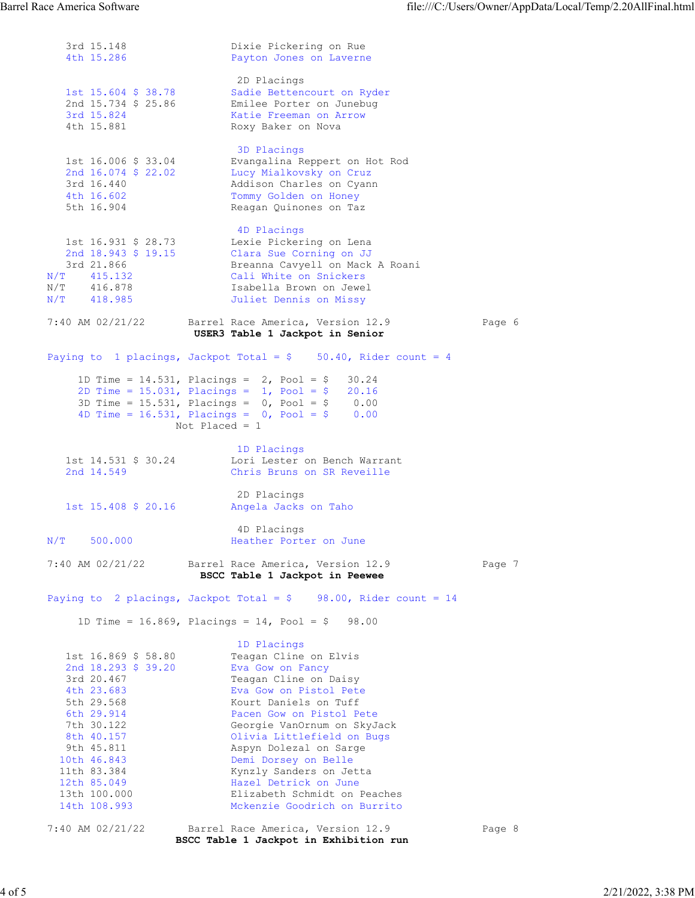3rd 15.148 Dixie Pickering on Rue<br>4th 15.286 Payton Jones on Laverne Payton Jones on Laverne 2D Placings 1st 15.604 \$ 38.78 Sadie Bettencourt on Ryder 2nd 15.734 \$ 25.86 Emilee Porter on Junebug 3rd 15.824 Katie Freeman on Arrow 4th 15.881 Roxy Baker on Nova 3D Placings 1st 16.006 \$ 33.04 Evangalina Reppert on Hot Rod 2nd 16.074 \$ 22.02 Lucy Mialkovsky on Cruz 3rd 16.440 Addison Charles on Cyann 4th 16.602 Tommy Golden on Honey 5th 16.904 Reagan Quinones on Taz 4D Placings 1st 16.931 \$ 28.73 Lexie Pickering on Lena 2nd 18.943 \$ 19.15 Clara Sue Corning on JJ 3rd 21.866 Breanna Cavyell on Mack A Roani N/T 415.132 Cali White on Snickers N/T 415.132 Cali White on Snickers<br>
N/T 416.878 Isabella Brown on Jewel<br>
N/T 418.985 Juliet Dennis on Missy N/T 418.985 Juliet Dennis on Missy 7:40 AM 02/21/22 Barrel Race America, Version 12.9 Page 6  **USER3 Table 1 Jackpot in Senior**  Paying to 1 placings, Jackpot Total =  $$$  50.40, Rider count = 4 1D Time =  $14.531$ , Placings =  $2$ , Pool =  $$30.24$  2D Time = 15.031, Placings = 1, Pool = \$ 20.16 3D Time = 15.531, Placings = 0, Pool = \$ 0.00 4D Time = 16.531, Placings = 0, Pool = \$ 0.00 Not Placed = 1 1D Placings 1st 14.531 \$ 30.24 Lori Lester on Bench Warrant 2nd 14.549 Chris Bruns on SR Reveille 2D Placings<br>1st 15.408 \$ 20.16 Angela Jacks Angela Jacks on Taho AD Placings<br>N/T 500.000 1eather Porte Heather Porter on June 7:40 AM 02/21/22 Barrel Race America, Version 12.9 Page 7  **BSCC Table 1 Jackpot in Peewee**  Paying to 2 placings, Jackpot Total =  $$$  98.00, Rider count = 14 1D Time = 16.869, Placings = 14, Pool = \$ 98.00 1D Placings 1st 16.869 \$ 58.80 Teagan Cline on Elvis 2nd 18.293 \$ 39.20 Eva Gow on Fancy 3rd 20.467 Teagan Cline on Daisy 4th 23.683 Eva Gow on Pistol Pete 5th 29.568 Kourt Daniels on Tuff 6th 29.914 Pacen Gow on Pistol Pete 7th 30.122 Georgie VanOrnum on SkyJack 8th 40.157 Olivia Littlefield on Bugs 9th 45.811 Aspyn Dolezal on Sarge 10th 46.843 Demi Dorsey on Belle 11th 83.384 Kynzly Sanders on Jetta 12th 85.049 Hazel Detrick on June 13th 100.000 Elizabeth Schmidt on Peaches 14th 108.993 Mckenzie Goodrich on Burrito 7:40 AM 02/21/22 Barrel Race America, Version 12.9 Page 8  **BSCC Table 1 Jackpot in Exhibition run**